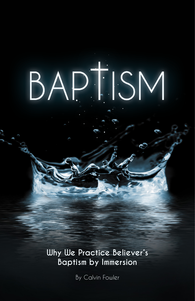# BAPTISM

**Why We Practice Believer's Baptism by Immersion**

By Calvin Fowler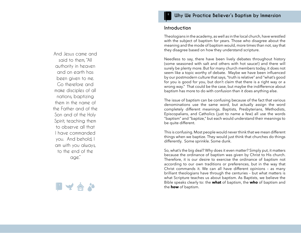### And Jesus came and said to them, "All authority in heaven and on earth has been given to me. Go therefore and make disciples of all nations, baptizing them in the name of the Father and of the Son and of the Holy Spirit, teaching them to observe all that I have commanded you. And behold, I am with you always, to the end of the age."



#### **Why We Practice Believer's Baptism by Immersion**

#### **Introduction**

Theologians in the academy, as well as in the local church, have wrestled with the subject of baptism for years. Those who disagree about the meaning and the mode of baptism would, more times than not, say that they disagree based on how they understand scripture.

Needless to say, there have been lively debates throughout history (some seasoned with salt and others with hot sauce!) and there will surely be plenty more. But for many church members today, it does not seem like a topic worthy of debate. Maybe we have been influenced by our postmodern culture that says, "truth is relative" and "what's good for you is good for you, but don't claim that there is a right way or a wrong way." That could be the case, but maybe the indifference about baptism has more to do with confusion than it does anything else.

The issue of baptism can be confusing because of the fact that various denominations use the same word, but actually assign the word completely different meanings. Baptists, Presbyterians, Methodists, Episcopalians, and Catholics (just to name a few) all use the words "baptism" and "baptize," but each would understand their meanings to be quite different.

This is confusing. Most people would never think that we mean different things when we baptize. They would just think that churches do things differently. Some sprinkle. Some dunk.

So, what's the big deal? Why does it even matter? Simply put, it matters because the ordinance of baptism was given by Christ to His church. Therefore, it is our desire to exercise the ordinance of baptism not according to our own traditions or preferences, but in the way that Christ commands it. We can all have different opinions – as many brilliant theologians have through the centuries – but what matters is what Scripture teaches us about baptism. As Baptists, we believe the Bible speaks clearly to: the **what** of baptism, the **who** of baptism and the **how** of baptism.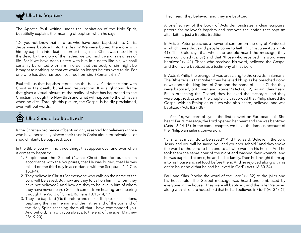# What is Baptism?

The Apostle Paul, writing under the inspiration of the Holy Spirit, beautifully explains the meaning of baptism when he says,

"Do you not know that all of us who have been baptized into Christ Jesus were baptized into His death? We were buried therefore with him by baptism into death, in order that, just as Christ was raised from the dead by the glory of the Father, we too might walk in newness of life. For if we have been united with him in a death like his, we shall certainly be united with him in order that the body of sin might be brought to nothing, so that we would no longer be enslaved to sin. For one who has died has been set free from sin." (Romans 6:3-7)

Paul tells us that baptism represents the believer's identification with Christ in His death, burial and resurrection. It is a glorious drama that gives a visual picture of the reality of what has happened to the Christian through the New Birth and what will happen to the Christian when he dies. Through this picture, the Gospel is boldly proclaimed, even without words.

## **Who Should be Baptized?**

Is the Christian ordinance of baptism only reserved for believers – those who have personally placed their trust in Christ alone for salvation – or should infants be baptized, too?

In the Bible, you will find three things that appear over and over when it comes to baptism:

- 1. People hear the Gospel ("…that Christ died for our sins in accordance with the Scriptures, that He was buried, that He was raised on the third day in accordance with the Scriptures" 1 Cor.  $15:3-4$ ).
- 2. They believe in Christ (For everyone who calls on the name of the Lord will be saved. But how are they to call on him in whom they have not believed? And how are they to believe in him of whom they have never heard? So faith comes from hearing, and hearing through the Word of Christ. Romans 10:13-14, 17).
- 3. They are baptized (Go therefore and make disciples of all nations, baptizing them in the name of the Father and of the Son and of the Holy Spirit, teaching them all that I have commanded you. And behold, I am with you always, to the end of the age. Matthew 28:19-20).

They hear…they believe…and they are baptized.

A brief survey of the book of Acts demonstrates a clear scriptural pattern for believer's baptism and removes the notion that baptism after faith is just a Baptist tradition.

In Acts 2, Peter preaches a powerful sermon on the day of Pentecost in which three thousand people come to faith in Christ (see Acts 2:14- 41). The Bible says that when the people heard the message, they were convicted (vs. 37) and that "those who received his word were baptized" (v. 41). Those who received his word, believed the Gospel and then were baptized as a testimony of that belief.

In Acts 8, Philip the evangelist was preaching to the crowds in Samaria. The Bible tells us that "when they believed Philip as he preached good news about the kingdom of God and the name of Jesus Christ, they were baptized, both men and women" (Acts 8:12). Again, they heard Philip preaching the Gospel, they believed the message, and they were baptized. Later in the chapter, it is recorded that Philip shared the Gospel with an Ethiopian eunuch who also heard, believed, and was baptized (Acts 8:27-38).

 In Acts 16, we learn of Lydia, the first convert on European soil. She heard Paul's message, the Lord opened her heart and she was baptized (Acts 16:14-15). In the same chapter, we have the famous account of the Philippian jailer's conversion.

"'Sirs, what must I do to be saved?' And they said, 'Believe in the Lord Jesus, and you will be saved, you and your household.' And they spoke the word of the Lord to him and to all who were in his house. And he took them the same hour of the night and washed their wounds; and he was baptized at once, he and all his family. Then he brought them up into his house and set food before them. And he rejoiced along with his entire household that he had believed in God" (Acts 16:30-34).

Paul and Silas "spoke the word of the Lord" (v. 32) to the jailer and his household. The Gospel message was heard and embraced by everyone in the house. They were all baptized, and the jailer "rejoiced along with his entire household that he had believed in God" (vs. 34). (1)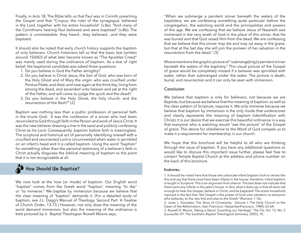Finally, in Acts 18, The Bible tells us that Paul was in Corinth preaching the Gospel and that "Crispus, the ruler of the synagogue, believed in the Lord, together with his entire household" (v.8a). "And many of the Corinthians hearing Paul believed and were baptized" (v.8b). The pattern is unmistakable: they heard…they believed…and they were baptized.

It should also be noted that early church history supports the baptism of only believers. Church historians tell us that the basic text (written around 150AD) of what later became known as "The Apostles Creed" was mainly used during the ordinance of baptism. As a test of right belief, the baptismal candidate was asked three questions:

- 1. Do you believe in God the Father almighty?
- 2. Do you believe in Christ Jesus, the Son of God, who was born of the Holy Ghost and of Mary the virgin, who was crucified under Pontius Pilate, and died, and rose again at the third day, living from among the dead, and ascended unto heaven and sat at the right of the Father, and will come to judge the quick and the dead?
- 3. Do you believe in the Holy Ghost, the holy church, and the resurrection of the flesh?" (2)

Baptism was nothing less than a public profession of personal faith in the triune God. It was the confession of a sinner who had been reconciled to God through faith in the Person and work of Jesus Christ. It was the new believer drawing a line in the sand and publicly confessing Christ as his Lord. Consequently, baptism before faith is meaningless. The scriptural and historical act of personally identifying oneself with a crucified and resurrected Lord is circumvented when water is sprinkled on an infant's head and it is called baptism. Using the word "baptism" for something other than the personal testimony of a believer's faith in Christ actually disguises the biblical meaning of baptism to the point that it is not recognizable at all.

## How Should We Baptize?

We now look at the how (or mode) of baptism. Our English word "baptize" comes from the Greek word "baptizo", meaning "to dip" or "to immerse." We baptize by immersion because we believe that the clear meaning of "baptizo" demands it. (For a detailed study of baptism, see J.L. Dagg's Manual of Theology. Second Part: A Treatise of Church Order, 13-73.) However, not only does the meaning of the word demand immersion, but also the meaning of the ordinance is best pictured by it. Baptist Theologian Russell Moore says,

"When we submerge a penitent sinner beneath the waters of the baptistery, we are confessing something quite particular before the congregation, the watching world and the principalities and powers of this age. We are confessing that we believe Jesus of Nazareth was immersed in the very wrath of God in the place of this sinner, that He was buried and that God raised Him from the dead. We are confessing that we believe that this sinner may die and may rot away in the grave, but that at the last day she will join the pioneer of her salvation in the resurrection from the dead." (3)

Moore mentions the graphic picture of "submerge[ing] a penitent sinner beneath the waters of the baptistry." This visual picture of the Gospel of grace would be completely missed if a believer was sprinkled with water, rather than submerged under the water. The picture is death, burial, and resurrection and it can only be seen with immersion.

#### **Conclusion**

We believe that baptism is only for believers, not because we are Baptists, but because we believe that the meaning of baptism, as well as the clear pattern of Scripture, requires it. We only immerse because we believe that baptism by immersion is the only mode that underscores and clearly represents the meaning of baptism (identification with Christ). It is our desire that we exercise this beautiful ordinance in a way that everyone who is watching would "see the picture" of the Gospel of grace. This desire for obedience to the Word of God compels us to make it a requirement for membership in our church.

We hope that this brochure will be helpful to all who are thinking through the issue of baptism. If you have any additional questions or would like to discuss this important issue further, please feel free to contact Temple Baptist Church at the address and phone number on the back of this brochure.

#### **Endnotes:**

1. It should be noted here that those who advocate infant baptism look to verses like this and say that there must have been infants in the house; therefore, infant baptism is taught in Scripture. This is an argument from silence. The text does not indicate that there were any infants in the jailer's house. In fact, what it does say is that all were old enough to hear the Gospel, believe in Christ, and be baptized! The entire household rejoiced in the fact that "the Gospel is the power of God unto salvation, to everyone who believes, to the Jew first and also to the Greek" (Romans 1:16).

2. Justo L. Gonzalez, The Story of Christianity. Volume I: The Early Church to the Dawn of the Reformation. (San Francisco: HarperSanFrancisco, 1984), 63-64. 3. Russell D. Moore, Taking a Stand: Guarding our Heritage." The Tie, Vol. 73, No. 2 (Louisville, KY: The Southern Baptist Theological Seminary, 2005), 10.